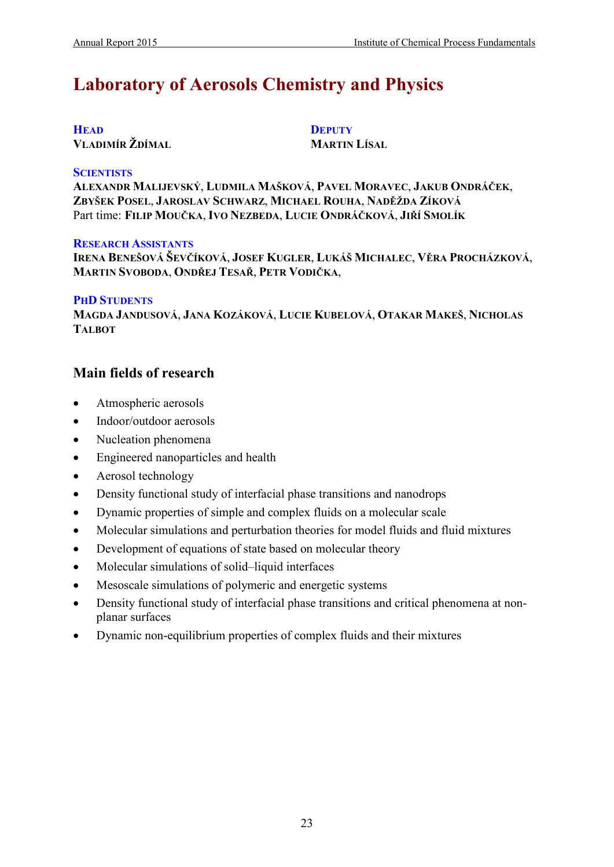# **Laboratory of Aerosols Chemistry and Physics**

#### **HEAD VLADIMÍR ŽDÍMAL**

**DEPUTY MARTIN LÍSAL**

#### **SCIENTISTS**

**ALEXANDR MALIJEVSKÝ**, **LUDMILA MAŠKOVÁ**, **PAVEL MORAVEC**, **JAKUB ONDRÁČEK**, **ZBYŠEK POSEL**, **JAROSLAV SCHWARZ**, **MICHAEL ROUHA**, **NADĚŽDA ZÍKOVÁ** Part time: **FILIP MOUČKA**, **IVO NEZBEDA**, **LUCIE ONDRÁČKOVÁ**, **JIŘÍ SMOLÍK**

#### **RESEARCH ASSISTANTS**

**IRENA BENEŠOVÁ ŠEVČÍKOVÁ**, **JOSEF KUGLER**, **LUKÁŠ MICHALEC**, **VĚRA PROCHÁZKOVÁ**, **MARTIN SVOBODA**, **ONDŘEJ TESAŘ**, **PETR VODIČKA**,

#### **PHD STUDENTS**

**MAGDA JANDUSOVÁ**, **JANA KOZÁKOVÁ**, **LUCIE KUBELOVÁ**, **OTAKAR MAKEŠ**, **NICHOLAS TALBOT**

## **Main fields of research**

- Atmospheric aerosols
- Indoor/outdoor aerosols
- Nucleation phenomena
- Engineered nanoparticles and health
- Aerosol technology
- Density functional study of interfacial phase transitions and nanodrops
- Dynamic properties of simple and complex fluids on a molecular scale
- Molecular simulations and perturbation theories for model fluids and fluid mixtures
- Development of equations of state based on molecular theory
- Molecular simulations of solid–liquid interfaces
- Mesoscale simulations of polymeric and energetic systems
- Density functional study of interfacial phase transitions and critical phenomena at nonplanar surfaces
- Dynamic non-equilibrium properties of complex fluids and their mixtures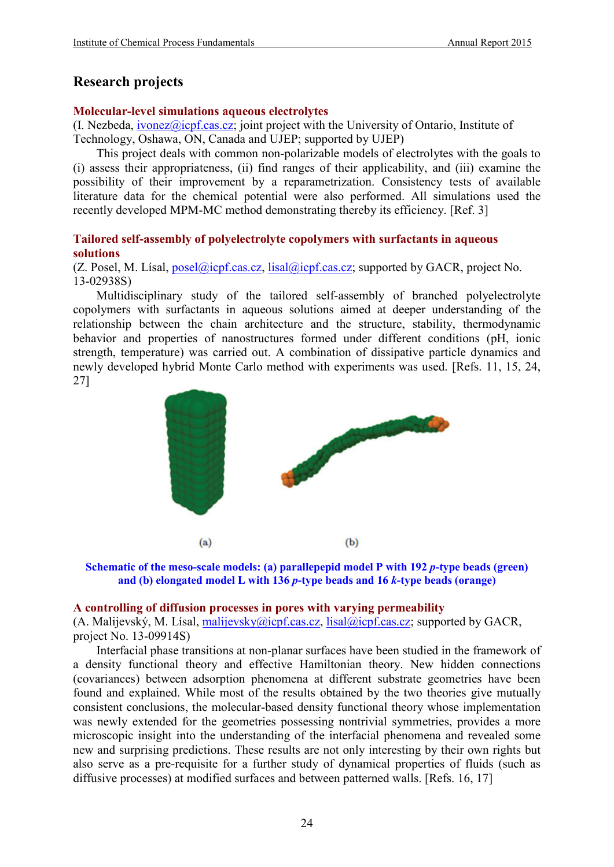## **Research projects**

#### **Molecular-level simulations aqueous electrolytes**

 $(I. Nezbeda, *ivonez@icpf.cas.cz*; joint project with the University of Ontario, Institute of$ Technology, Oshawa, ON, Canada and UJEP; supported by UJEP)

This project deals with common non-polarizable models of electrolytes with the goals to (i) assess their appropriateness, (ii) find ranges of their applicability, and (iii) examine the possibility of their improvement by a reparametrization. Consistency tests of available literature data for the chemical potential were also performed. All simulations used the recently developed MPM-MC method demonstrating thereby its efficiency. [Ref. 3]

#### **Tailored self-assembly of polyelectrolyte copolymers with surfactants in aqueous solutions**

(Z. Posel, M. Lísal, [posel@icpf.cas.cz,](mailto:posel@icpf.cas.cz) [lisal@icpf.cas.cz;](mailto:lisal@icpf.cas.cz) supported by GACR, project No. 13-02938S)

Multidisciplinary study of the tailored self-assembly of branched polyelectrolyte copolymers with surfactants in aqueous solutions aimed at deeper understanding of the relationship between the chain architecture and the structure, stability, thermodynamic behavior and properties of nanostructures formed under different conditions (pH, ionic strength, temperature) was carried out. A combination of dissipative particle dynamics and newly developed hybrid Monte Carlo method with experiments was used. [Refs. 11, 15, 24, 27]



**Schematic of the meso-scale models: (a) parallepepid model P with 192** *p***-type beads (green) and (b) elongated model L with 136** *p***-type beads and 16** *k***-type beads (orange)**

#### **A controlling of diffusion processes in pores with varying permeability**

(A. Malijevský, M. Lísal, [malijevsky@icpf.cas.cz,](mailto:malijevsky@icpf.cas.cz) [lisal@icpf.cas.cz;](mailto:lisal@icpf.cas.cz) supported by GACR, project No. 13-09914S)

Interfacial phase transitions at non-planar surfaces have been studied in the framework of a density functional theory and effective Hamiltonian theory. New hidden connections (covariances) between adsorption phenomena at different substrate geometries have been found and explained. While most of the results obtained by the two theories give mutually consistent conclusions, the molecular-based density functional theory whose implementation was newly extended for the geometries possessing nontrivial symmetries, provides a more microscopic insight into the understanding of the interfacial phenomena and revealed some new and surprising predictions. These results are not only interesting by their own rights but also serve as a pre-requisite for a further study of dynamical properties of fluids (such as diffusive processes) at modified surfaces and between patterned walls. [Refs. 16, 17]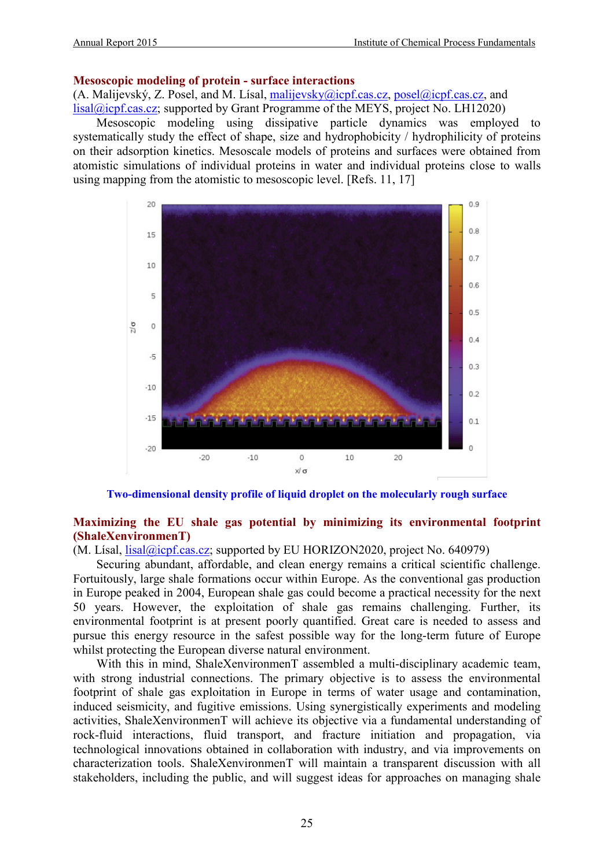#### **Mesoscopic modeling of protein - surface interactions**

(A. Malijevský, Z. Posel, and M. Lísal, [malijevsky@icpf.cas.cz,](mailto:malijevsky@icpf.cas.cz) [posel@icpf.cas.cz,](mailto:posel@icpf.cas.cz) and [lisal@icpf.cas.cz;](mailto:lisal@icpf.cas.cz) supported by Grant Programme of the MEYS, project No. LH12020)

Mesoscopic modeling using dissipative particle dynamics was employed to systematically study the effect of shape, size and hydrophobicity / hydrophilicity of proteins on their adsorption kinetics. Mesoscale models of proteins and surfaces were obtained from atomistic simulations of individual proteins in water and individual proteins close to walls using mapping from the atomistic to mesoscopic level. [Refs. 11, 17]



**Two-dimensional density profile of liquid droplet on the molecularly rough surface**

#### **Maximizing the EU shale gas potential by minimizing its environmental footprint (ShaleXenvironmenT)**

 $(M. Lísal, *lisal@icpf.cas.cz*; supported by EU HORIZON2020, project No. 640979)$ 

Securing abundant, affordable, and clean energy remains a critical scientific challenge. Fortuitously, large shale formations occur within Europe. As the conventional gas production in Europe peaked in 2004, European shale gas could become a practical necessity for the next 50 years. However, the exploitation of shale gas remains challenging. Further, its environmental footprint is at present poorly quantified. Great care is needed to assess and pursue this energy resource in the safest possible way for the long-term future of Europe whilst protecting the European diverse natural environment.

With this in mind, ShaleXenvironmenT assembled a multi-disciplinary academic team, with strong industrial connections. The primary objective is to assess the environmental footprint of shale gas exploitation in Europe in terms of water usage and contamination, induced seismicity, and fugitive emissions. Using synergistically experiments and modeling activities, ShaleXenvironmenT will achieve its objective via a fundamental understanding of rock-fluid interactions, fluid transport, and fracture initiation and propagation, via technological innovations obtained in collaboration with industry, and via improvements on characterization tools. ShaleXenvironmenT will maintain a transparent discussion with all stakeholders, including the public, and will suggest ideas for approaches on managing shale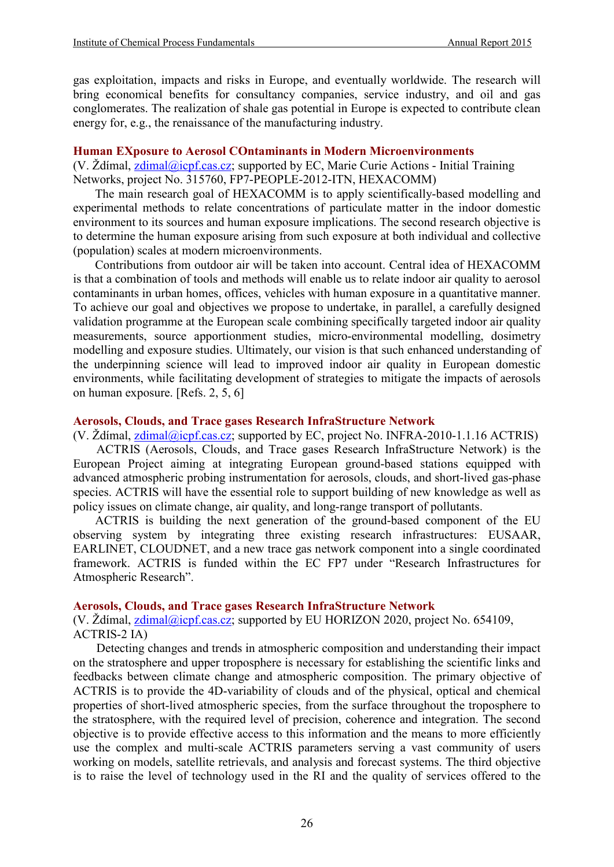gas exploitation, impacts and risks in Europe, and eventually worldwide. The research will bring economical benefits for consultancy companies, service industry, and oil and gas conglomerates. The realization of shale gas potential in Europe is expected to contribute clean energy for, e.g., the renaissance of the manufacturing industry.

#### **Human EXposure to Aerosol COntaminants in Modern Microenvironments**

(V. Ždímal, [zdimal@icpf.cas.cz;](mailto:zdimal@icpf.cas.cz) supported by EC, Marie Curie Actions - Initial Training Networks, project No. 315760, FP7-PEOPLE-2012-ITN, HEXACOMM)

The main research goal of HEXACOMM is to apply scientifically-based modelling and experimental methods to relate concentrations of particulate matter in the indoor domestic environment to its sources and human exposure implications. The second research objective is to determine the human exposure arising from such exposure at both individual and collective (population) scales at modern microenvironments.

Contributions from outdoor air will be taken into account. Central idea of HEXACOMM is that a combination of tools and methods will enable us to relate indoor air quality to aerosol contaminants in urban homes, offices, vehicles with human exposure in a quantitative manner. To achieve our goal and objectives we propose to undertake, in parallel, a carefully designed validation programme at the European scale combining specifically targeted indoor air quality measurements, source apportionment studies, micro-environmental modelling, dosimetry modelling and exposure studies. Ultimately, our vision is that such enhanced understanding of the underpinning science will lead to improved indoor air quality in European domestic environments, while facilitating development of strategies to mitigate the impacts of aerosols on human exposure. [Refs. 2, 5, 6]

#### **Aerosols, Clouds, and Trace gases Research InfraStructure Network**

(V. Ždímal, [zdimal@icpf.cas.cz;](mailto:zdimal@icpf.cas.cz) supported by EC, project No. INFRA-2010-1.1.16 ACTRIS) ACTRIS (Aerosols, Clouds, and Trace gases Research InfraStructure Network) is the European Project aiming at integrating European ground-based stations equipped with advanced atmospheric probing instrumentation for aerosols, clouds, and short-lived gas-phase species. ACTRIS will have the essential role to support building of new knowledge as well as policy issues on climate change, air quality, and long-range transport of pollutants.

ACTRIS is building the next generation of the ground-based component of the EU observing system by integrating three existing research infrastructures: EUSAAR, EARLINET, CLOUDNET, and a new trace gas network component into a single coordinated framework. ACTRIS is funded within the EC FP7 under "Research Infrastructures for Atmospheric Research".

#### **Aerosols, Clouds, and Trace gases Research InfraStructure Network**

(V. Ždímal, [zdimal@icpf.cas.cz;](mailto:zdimal@icpf.cas.cz) supported by EU HORIZON 2020, project No. 654109, ACTRIS-2 IA)

Detecting changes and trends in atmospheric composition and understanding their impact on the stratosphere and upper troposphere is necessary for establishing the scientific links and feedbacks between climate change and atmospheric composition. The primary objective of ACTRIS is to provide the 4D-variability of clouds and of the physical, optical and chemical properties of short-lived atmospheric species, from the surface throughout the troposphere to the stratosphere, with the required level of precision, coherence and integration. The second objective is to provide effective access to this information and the means to more efficiently use the complex and multi-scale ACTRIS parameters serving a vast community of users working on models, satellite retrievals, and analysis and forecast systems. The third objective is to raise the level of technology used in the RI and the quality of services offered to the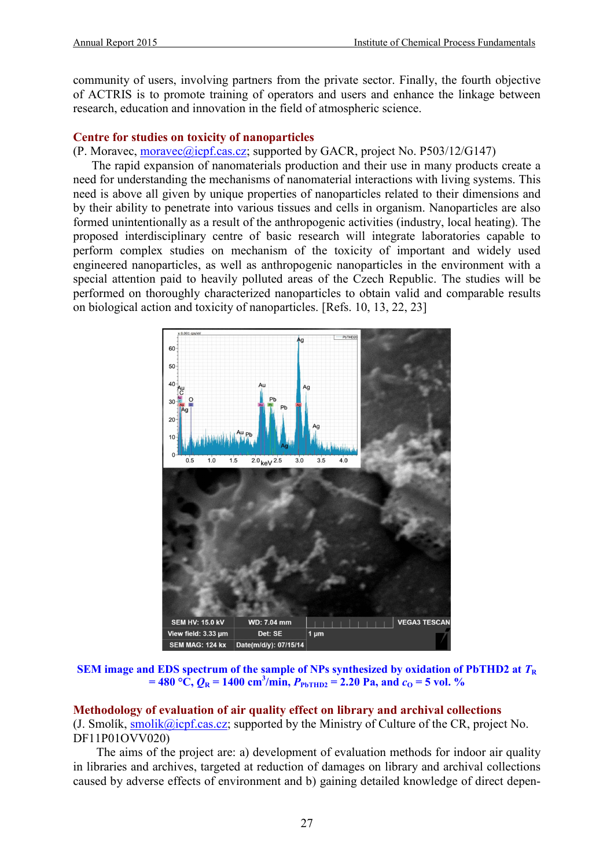community of users, involving partners from the private sector. Finally, the fourth objective of ACTRIS is to promote training of operators and users and enhance the linkage between research, education and innovation in the field of atmospheric science.

#### **Centre for studies on toxicity of nanoparticles**

#### (P. Moravec, [moravec@icpf.cas.cz;](mailto:moravec@icpf.cas.cz) supported by GACR, project No. P503/12/G147)

The rapid expansion of nanomaterials production and their use in many products create a need for understanding the mechanisms of nanomaterial interactions with living systems. This need is above all given by unique properties of nanoparticles related to their dimensions and by their ability to penetrate into various tissues and cells in organism. Nanoparticles are also formed unintentionally as a result of the anthropogenic activities (industry, local heating). The proposed interdisciplinary centre of basic research will integrate laboratories capable to perform complex studies on mechanism of the toxicity of important and widely used engineered nanoparticles, as well as anthropogenic nanoparticles in the environment with a special attention paid to heavily polluted areas of the Czech Republic. The studies will be performed on thoroughly characterized nanoparticles to obtain valid and comparable results on biological action and toxicity of nanoparticles. [Refs. 10, 13, 22, 23]



**SEM image and EDS spectrum of the sample of NPs synthesized by oxidation of PbTHD2 at**  $T_R$  $=$  **480**  $\degree$ C,  $Q_R$  = 1400 cm<sup>3</sup>/min,  $P_{\text{PbTHD2}}$  = 2.20 Pa, and  $c_0$  = 5 vol. %

## **Methodology of evaluation of air quality effect on library and archival collections**

(J. Smolík, [smolik@icpf.cas.cz;](mailto:smolik@icpf.cas.cz) supported by the Ministry of Culture of the CR, project No. DF11P01OVV020)

The aims of the project are: a) development of evaluation methods for indoor air quality in libraries and archives, targeted at reduction of damages on library and archival collections caused by adverse effects of environment and b) gaining detailed knowledge of direct depen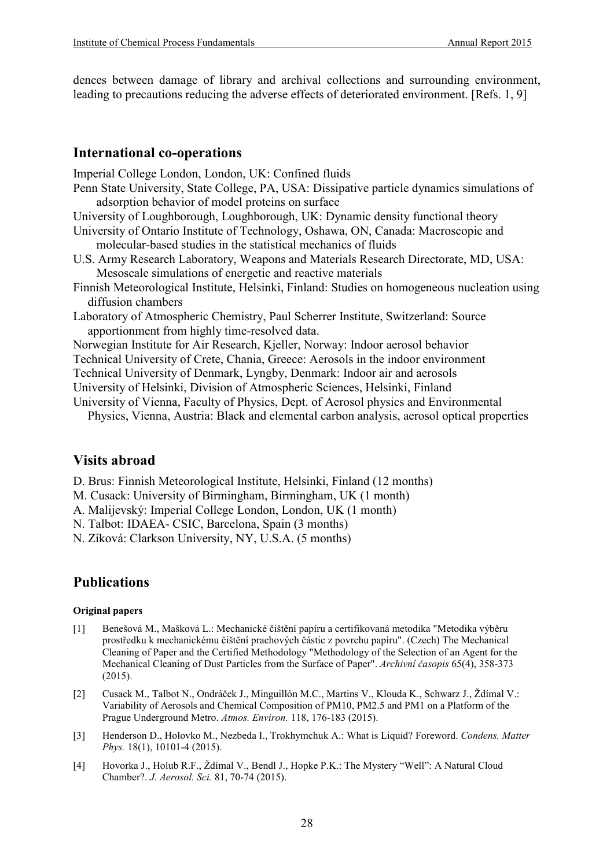dences between damage of library and archival collections and surrounding environment, leading to precautions reducing the adverse effects of deteriorated environment. [Refs. 1, 9]

### **International co-operations**

Imperial College London, London, UK: Confined fluids

- Penn State University, State College, PA, USA: Dissipative particle dynamics simulations of adsorption behavior of model proteins on surface
- University of Loughborough, Loughborough, UK: Dynamic density functional theory
- University of Ontario Institute of Technology, Oshawa, ON, Canada: Macroscopic and molecular-based studies in the statistical mechanics of fluids
- U.S. Army Research Laboratory, Weapons and Materials Research Directorate, MD, USA: Mesoscale simulations of energetic and reactive materials
- Finnish Meteorological Institute, Helsinki, Finland: Studies on homogeneous nucleation using diffusion chambers
- Laboratory of Atmospheric Chemistry, Paul Scherrer Institute, Switzerland: Source apportionment from highly time-resolved data.
- Norwegian Institute for Air Research, Kjeller, Norway: Indoor aerosol behavior
- Technical University of Crete, Chania, Greece: Aerosols in the indoor environment
- Technical University of Denmark, Lyngby, Denmark: Indoor air and aerosols
- University of Helsinki, Division of Atmospheric Sciences, Helsinki, Finland
- University of Vienna, Faculty of Physics, Dept. of Aerosol physics and Environmental Physics, Vienna, Austria: Black and elemental carbon analysis, aerosol optical properties

## **Visits abroad**

D. Brus: Finnish Meteorological Institute, Helsinki, Finland (12 months)

- M. Cusack: University of Birmingham, Birmingham, UK (1 month)
- A. Malijevský: Imperial College London, London, UK (1 month)

N. Talbot: IDAEA- CSIC, Barcelona, Spain (3 months)

N. Zíková: Clarkson University, NY, U.S.A. (5 months)

## **Publications**

#### **Original papers**

- [1] Benešová M., Mašková L.: Mechanické čištění papíru a certifikovaná metodika "Metodika výběru prostředku k mechanickému čištění prachových částic z povrchu papíru". (Czech) The Mechanical Cleaning of Paper and the Certified Methodology "Methodology of the Selection of an Agent for the Mechanical Cleaning of Dust Particles from the Surface of Paper". *Archivní časopis* 65(4), 358-373 (2015).
- [2] Cusack M., Talbot N., Ondráček J., Minguillón M.C., Martins V., Klouda K., Schwarz J., Ždímal V.: Variability of Aerosols and Chemical Composition of PM10, PM2.5 and PM1 on a Platform of the Prague Underground Metro. *Atmos. Environ.* 118, 176-183 (2015).
- [3] Henderson D., Holovko M., Nezbeda I., Trokhymchuk A.: What is Liquid? Foreword. *Condens. Matter Phys.* 18(1), 10101-4 (2015).
- [4] Hovorka J., Holub R.F., Ždímal V., Bendl J., Hopke P.K.: The Mystery "Well": A Natural Cloud Chamber?. *J. Aerosol. Sci.* 81, 70-74 (2015).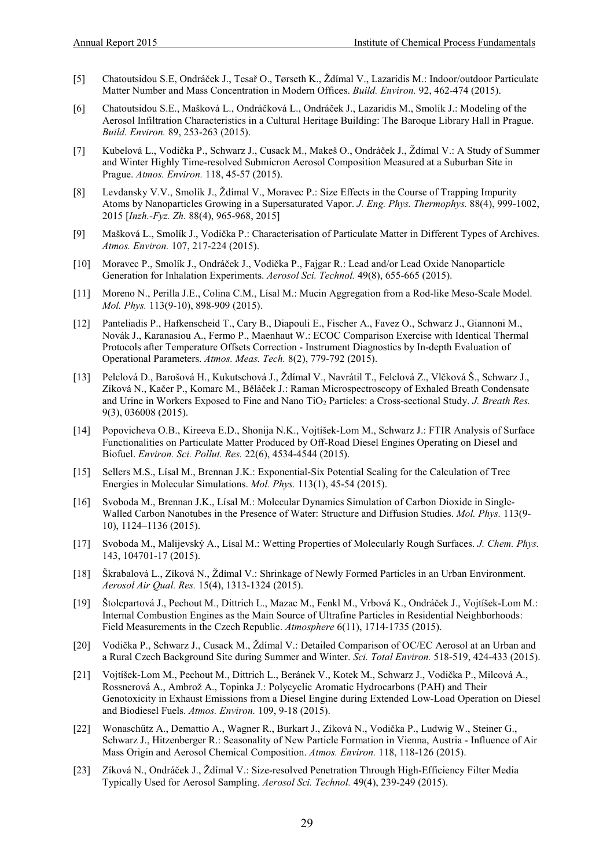- [5] Chatoutsidou S.E, Ondráček J., Tesař O., Tørseth K., Ždímal V., Lazaridis M.: Indoor/outdoor Particulate Matter Number and Mass Concentration in Modern Offices. *Build. Environ.* 92, 462-474 (2015).
- [6] Chatoutsidou S.E., Mašková L., Ondráčková L., Ondráček J., Lazaridis M., Smolík J.: Modeling of the Aerosol Infiltration Characteristics in a Cultural Heritage Building: Τhe Baroque Library Hall in Prague. *Build. Environ.* 89, 253-263 (2015).
- [7] Kubelová L., Vodička P., Schwarz J., Cusack M., Makeš O., Ondráček J., Ždímal V.: A Study of Summer and Winter Highly Time-resolved Submicron Aerosol Composition Measured at a Suburban Site in Prague. *Atmos. Environ.* 118, 45-57 (2015).
- [8] Levdansky V.V., Smolík J., Ždímal V., Moravec P.: Size Effects in the Course of Trapping Impurity Atoms by Nanoparticles Growing in a Supersaturated Vapor. *J. Eng. Phys. Thermophys.* 88(4), 999-1002, 2015 [*Inzh.-Fyz. Zh.* 88(4), 965-968, 2015]
- [9] Mašková L., Smolík J., Vodička P.: Characterisation of Particulate Matter in Different Types of Archives. *Atmos. Environ.* 107, 217-224 (2015).
- [10] Moravec P., Smolík J., Ondráček J., Vodička P., Fajgar R.: Lead and/or Lead Oxide Nanoparticle Generation for Inhalation Experiments. *Aerosol Sci. Technol.* 49(8), 655-665 (2015).
- [11] Moreno N., Perilla J.E., Colina C.M., Lísal M.: Mucin Aggregation from a Rod-like Meso-Scale Model. *Mol. Phys.* 113(9-10), 898-909 (2015).
- [12] Panteliadis P., Hafkenscheid T., Cary B., Diapouli E., Fischer A., Favez O., Schwarz J., Giannoni M., Novák J., Karanasiou A., Fermo P., Maenhaut W.: ECOC Comparison Exercise with Identical Thermal Protocols after Temperature Offsets Correction - Instrument Diagnostics by In-depth Evaluation of Operational Parameters. *Atmos. Meas. Tech.* 8(2), 779-792 (2015).
- [13] Pelclová D., Barošová H., Kukutschová J., Ždímal V., Navrátil T., Felclová Z., Vlčková Š., Schwarz J., Zíková N., Kačer P., Komarc M., Běláček J.: Raman Microspectroscopy of Exhaled Breath Condensate and Urine in Workers Exposed to Fine and Nano TiO2 Particles: a Cross-sectional Study. *J. Breath Res.* 9(3), 036008 (2015).
- [14] Popovicheva O.B., Kireeva E.D., Shonija N.K., Vojtíšek-Lom M., Schwarz J.: FTIR Analysis of Surface Functionalities on Particulate Matter Produced by Off-Road Diesel Engines Operating on Diesel and Biofuel. *Environ. Sci. Pollut. Res.* 22(6), 4534-4544 (2015).
- [15] Sellers M.S., Lísal M., Brennan J.K.: Exponential-Six Potential Scaling for the Calculation of Tree Energies in Molecular Simulations. *Mol. Phys.* 113(1), 45-54 (2015).
- [16] Svoboda M., Brennan J.K., Lísal M.: Molecular Dynamics Simulation of Carbon Dioxide in Single-Walled Carbon Nanotubes in the Presence of Water: Structure and Diffusion Studies. *Mol. Phys.* 113(9- 10), 1124–1136 (2015).
- [17] Svoboda M., Malijevský A., Lísal M.: Wetting Properties of Molecularly Rough Surfaces. *J. Chem. Phys.* 143, 104701-17 (2015).
- [18] Škrabalová L., Zíková N., Ždímal V.: Shrinkage of Newly Formed Particles in an Urban Environment. *Aerosol Air Qual. Res.* 15(4), 1313-1324 (2015).
- [19] Štolcpartová J., Pechout M., Dittrich L., Mazac M., Fenkl M., Vrbová K., Ondráček J., Vojtíšek-Lom M.: Internal Combustion Engines as the Main Source of Ultrafine Particles in Residential Neighborhoods: Field Measurements in the Czech Republic. *Atmosphere* 6(11), 1714-1735 (2015).
- [20] Vodička P., Schwarz J., Cusack M., Ždímal V.: Detailed Comparison of OC/EC Aerosol at an Urban and a Rural Czech Background Site during Summer and Winter. *Sci. Total Environ.* 518-519, 424-433 (2015).
- [21] Vojtíšek-Lom M., Pechout M., Dittrich L., Beránek V., Kotek M., Schwarz J., Vodička P., Milcová A., Rossnerová A., Ambrož A., Topinka J.: Polycyclic Aromatic Hydrocarbons (PAH) and Their Genotoxicity in Exhaust Emissions from a Diesel Engine during Extended Low-Load Operation on Diesel and Biodiesel Fuels. *Atmos. Environ.* 109, 9-18 (2015).
- [22] Wonaschütz A., Demattio A., Wagner R., Burkart J., Zíková N., Vodička P., Ludwig W., Steiner G., Schwarz J., Hitzenberger R.: Seasonality of New Particle Formation in Vienna, Austria - Influence of Air Mass Origin and Aerosol Chemical Composition. *Atmos. Environ.* 118, 118-126 (2015).
- [23] Zíková N., Ondráček J., Ždímal V.: Size-resolved Penetration Through High-Efficiency Filter Media Typically Used for Aerosol Sampling. *Aerosol Sci. Technol.* 49(4), 239-249 (2015).